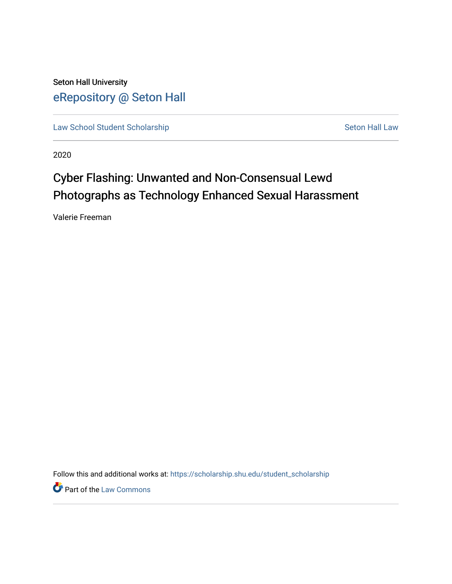Seton Hall University [eRepository @ Seton Hall](https://scholarship.shu.edu/)

[Law School Student Scholarship](https://scholarship.shu.edu/student_scholarship) Seton Hall Law

2020

# Cyber Flashing: Unwanted and Non-Consensual Lewd Photographs as Technology Enhanced Sexual Harassment

Valerie Freeman

Follow this and additional works at: [https://scholarship.shu.edu/student\\_scholarship](https://scholarship.shu.edu/student_scholarship?utm_source=scholarship.shu.edu%2Fstudent_scholarship%2F1090&utm_medium=PDF&utm_campaign=PDFCoverPages) 

**Part of the [Law Commons](http://network.bepress.com/hgg/discipline/578?utm_source=scholarship.shu.edu%2Fstudent_scholarship%2F1090&utm_medium=PDF&utm_campaign=PDFCoverPages)**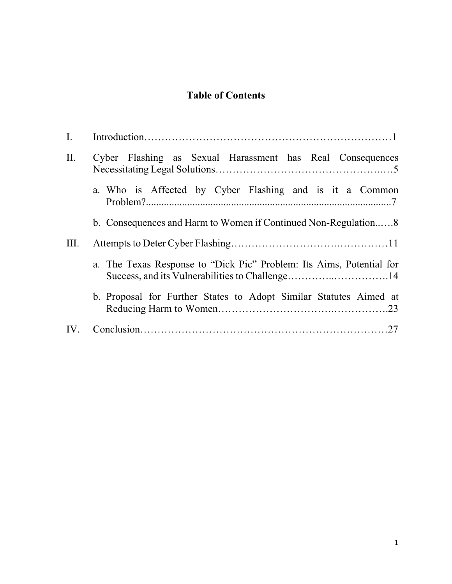### **Table of Contents**

| $\mathbf{I}$ . |                                                                      |
|----------------|----------------------------------------------------------------------|
| II.            | Cyber Flashing as Sexual Harassment has Real Consequences            |
|                | a. Who is Affected by Cyber Flashing and is it a Common              |
|                | b. Consequences and Harm to Women if Continued Non-Regulation8       |
| III.           |                                                                      |
|                | a. The Texas Response to "Dick Pic" Problem: Its Aims, Potential for |
|                | b. Proposal for Further States to Adopt Similar Statutes Aimed at    |
| IV.            |                                                                      |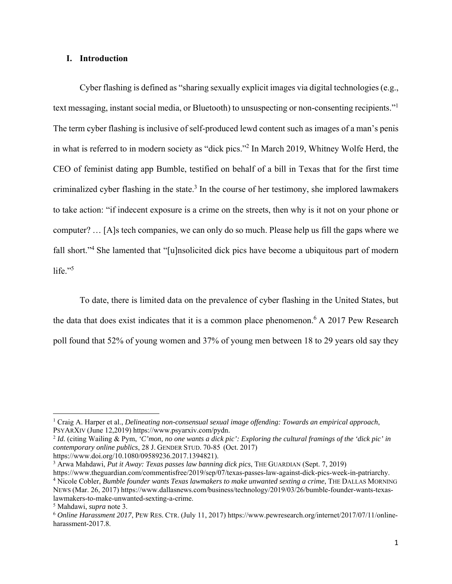#### **I. Introduction**

Cyber flashing is defined as "sharing sexually explicit images via digital technologies (e.g., text messaging, instant social media, or Bluetooth) to unsuspecting or non-consenting recipients."1 The term cyber flashing is inclusive of self-produced lewd content such as images of a man's penis in what is referred to in modern society as "dick pics."2 In March 2019, Whitney Wolfe Herd, the CEO of feminist dating app Bumble, testified on behalf of a bill in Texas that for the first time criminalized cyber flashing in the state.<sup>3</sup> In the course of her testimony, she implored lawmakers to take action: "if indecent exposure is a crime on the streets, then why is it not on your phone or computer? … [A]s tech companies, we can only do so much. Please help us fill the gaps where we fall short."<sup>4</sup> She lamented that "[u]nsolicited dick pics have become a ubiquitous part of modern life." $5$ 

To date, there is limited data on the prevalence of cyber flashing in the United States, but the data that does exist indicates that it is a common place phenomenon.<sup>6</sup> A 2017 Pew Research poll found that 52% of young women and 37% of young men between 18 to 29 years old say they

<sup>&</sup>lt;sup>1</sup> Craig A. Harper et al., *Delineating non-consensual sexual image offending: Towards an empirical approach,* PSYARXIV (June 12,2019) https://www.psyarxiv.com/pydn.<br><sup>2</sup> *Id.* (citing Wailing & Pym, *'C'mon, no one wants a dick pic': Exploring the cultural framings of the 'dick pic' in* 

*contemporary online publics*, 28 J. GENDER STUD. 70-85 (Oct. 2017) https://www.doi.org/10.1080/09589236.2017.1394821).

<sup>3</sup> Arwa Mahdawi, *Put it Away: Texas passes law banning dick pics*, THE GUARDIAN (Sept. 7, 2019)

https://www.theguardian.com/commentisfree/2019/sep/07/texas-passes-law-against-dick-pics-week-in-patriarchy. 4 Nicole Cobler, *Bumble founder wants Texas lawmakers to make unwanted sexting a crime*, THE DALLAS MORNING NEWS (Mar. 26, 2017) https://www.dallasnews.com/business/technology/2019/03/26/bumble-founder-wants-texaslawmakers-to-make-unwanted-sexting-a-crime. 5

Mahdawi, *supra* note 3.

<sup>6</sup> *Online Harassment 2017*, PEW RES. CTR. (July 11, 2017) https://www.pewresearch.org/internet/2017/07/11/onlineharassment-2017.8.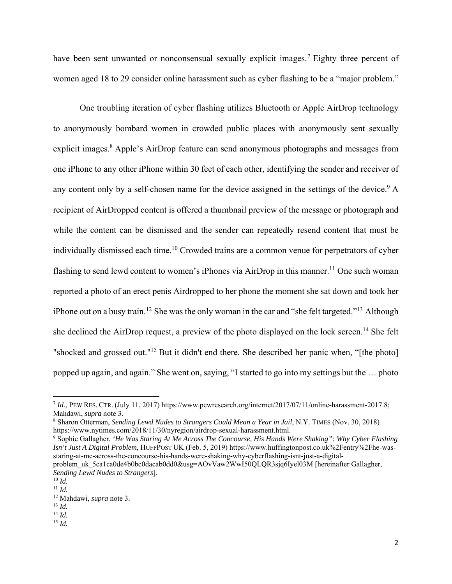have been sent unwanted or nonconsensual sexually explicit images.<sup>7</sup> Eighty three percent of women aged 18 to 29 consider online harassment such as cyber flashing to be a "major problem."

One troubling iteration of cyber flashing utilizes Bluetooth or Apple AirDrop technology to anonymously bombard women in crowded public places with anonymously sent sexually explicit images.<sup>8</sup> Apple's AirDrop feature can send anonymous photographs and messages from one iPhone to any other iPhone within 30 feet of each other, identifying the sender and receiver of any content only by a self-chosen name for the device assigned in the settings of the device.<sup>9</sup> A recipient of AirDropped content is offered a thumbnail preview of the message or photograph and while the content can be dismissed and the sender can repeatedly resend content that must be individually dismissed each time.<sup>10</sup> Crowded trains are a common venue for perpetrators of cyber flashing to send lewd content to women's iPhones via AirDrop in this manner.<sup>11</sup> One such woman reported a photo of an erect penis Airdropped to her phone the moment she sat down and took her iPhone out on a busy train.<sup>12</sup> She was the only woman in the car and "she felt targeted."<sup>13</sup> Although she declined the AirDrop request, a preview of the photo displayed on the lock screen.<sup>14</sup> She felt "shocked and grossed out."15 But it didn't end there. She described her panic when, "[the photo] popped up again, and again." She went on, saying, "I started to go into my settings but the … photo

<sup>7</sup> *Id.*, PEW RES. CTR. (July 11, 2017) https://www.pewresearch.org/internet/2017/07/11/online-harassment-2017.8; Mahdawi, *supra* note 3.

<sup>8</sup> Sharon Otterman, *Sending Lewd Nudes to Strangers Could Mean a Year in Jail*, N.Y. TIMES (Nov. 30, 2018) https://www.nytimes.com/2018/11/30/nyregion/airdrop-sexual-harassment.html.

<sup>9</sup> Sophie Gallagher, *'He Was Staring At Me Across The Concourse, His Hands Were Shaking": Why Cyber Flashing Isn't Just A Digital Problem*, HUFFPOST UK (Feb. 5, 2019) https://www.huffingtonpost.co.uk%2Fentry%2Fhe-wasstaring-at-me-across-the-concourse-his-hands-were-shaking-why-cyberflashing-isnt-just-a-digitalproblem\_uk\_5ca1ca0de4b0bc0dacab0dd0&usg=AOvVaw2WwI50QLQR3sjq6Iyel03M [hereinafter Gallagher,

*Sending Lewd Nudes to Strangers*].

 $\frac{10}{11}$  *Id.*  $\frac{11}{1}$ 

<sup>12</sup> Mahdawi, *supra* note 3.

<sup>13</sup> *Id.* 

<sup>14</sup> *Id.*

<sup>15</sup> *Id.*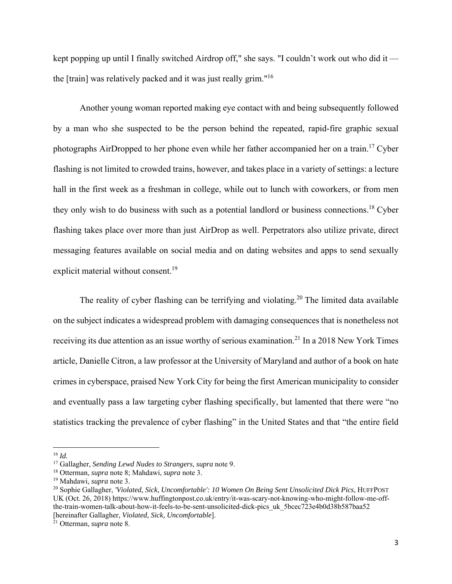kept popping up until I finally switched Airdrop off," she says. "I couldn't work out who did it the [train] was relatively packed and it was just really grim."16

Another young woman reported making eye contact with and being subsequently followed by a man who she suspected to be the person behind the repeated, rapid-fire graphic sexual photographs AirDropped to her phone even while her father accompanied her on a train.<sup>17</sup> Cyber flashing is not limited to crowded trains, however, and takes place in a variety of settings: a lecture hall in the first week as a freshman in college, while out to lunch with coworkers, or from men they only wish to do business with such as a potential landlord or business connections.18 Cyber flashing takes place over more than just AirDrop as well. Perpetrators also utilize private, direct messaging features available on social media and on dating websites and apps to send sexually explicit material without consent.<sup>19</sup>

The reality of cyber flashing can be terrifying and violating.<sup>20</sup> The limited data available on the subject indicates a widespread problem with damaging consequences that is nonetheless not receiving its due attention as an issue worthy of serious examination.<sup>21</sup> In a 2018 New York Times article, Danielle Citron, a law professor at the University of Maryland and author of a book on hate crimes in cyberspace, praised New York City for being the first American municipality to consider and eventually pass a law targeting cyber flashing specifically, but lamented that there were "no statistics tracking the prevalence of cyber flashing" in the United States and that "the entire field

 $16$  *Id.* 

<sup>17</sup> Gallagher, *Sending Lewd Nudes to Strangers*, *supra* note 9.

<sup>18</sup> Otterman, *supra* note 8; Mahdawi, *supra* note 3.

<sup>19</sup> Mahdawi, *supra* note 3.

<sup>20</sup> Sophie Gallagher, *'Violated, Sick, Uncomfortable': 10 Women On Being Sent Unsolicited Dick Pics*, HUFFPOST UK (Oct. 26, 2018) https://www.huffingtonpost.co.uk/entry/it-was-scary-not-knowing-who-might-follow-me-offthe-train-women-talk-about-how-it-feels-to-be-sent-unsolicited-dick-pics\_uk\_5bcec723e4b0d38b587baa52 [hereinafter Gallagher, *Violated, Sick, Uncomfortable*]. 21 Otterman, *supra* note 8.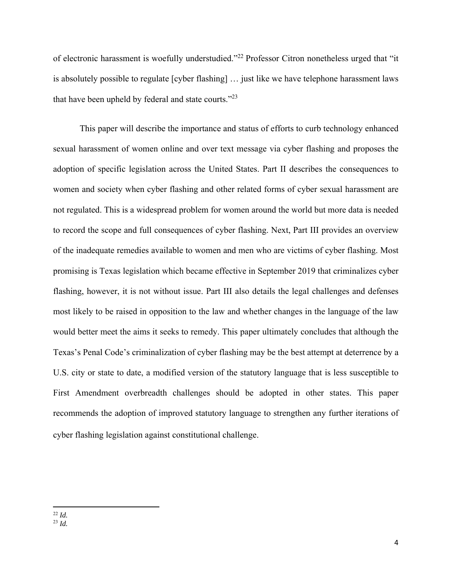of electronic harassment is woefully understudied."22 Professor Citron nonetheless urged that "it is absolutely possible to regulate [cyber flashing] … just like we have telephone harassment laws that have been upheld by federal and state courts."<sup>23</sup>

This paper will describe the importance and status of efforts to curb technology enhanced sexual harassment of women online and over text message via cyber flashing and proposes the adoption of specific legislation across the United States. Part II describes the consequences to women and society when cyber flashing and other related forms of cyber sexual harassment are not regulated. This is a widespread problem for women around the world but more data is needed to record the scope and full consequences of cyber flashing. Next, Part III provides an overview of the inadequate remedies available to women and men who are victims of cyber flashing. Most promising is Texas legislation which became effective in September 2019 that criminalizes cyber flashing, however, it is not without issue. Part III also details the legal challenges and defenses most likely to be raised in opposition to the law and whether changes in the language of the law would better meet the aims it seeks to remedy. This paper ultimately concludes that although the Texas's Penal Code's criminalization of cyber flashing may be the best attempt at deterrence by a U.S. city or state to date, a modified version of the statutory language that is less susceptible to First Amendment overbreadth challenges should be adopted in other states. This paper recommends the adoption of improved statutory language to strengthen any further iterations of cyber flashing legislation against constitutional challenge..

<sup>22</sup> *Id.*  <sup>23</sup> *Id.*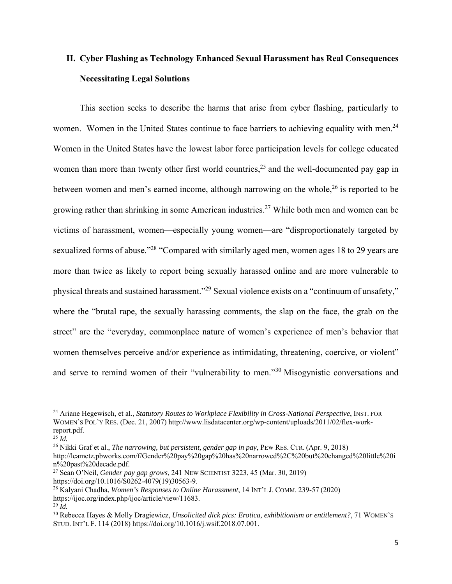### **II. Cyber Flashing as Technology Enhanced Sexual Harassment has Real Consequences Necessitating Legal Solutions**

This section seeks to describe the harms that arise from cyber flashing, particularly to women. Women in the United States continue to face barriers to achieving equality with men.<sup>24</sup> Women in the United States have the lowest labor force participation levels for college educated women than more than twenty other first world countries,<sup>25</sup> and the well-documented pay gap in between women and men's earned income, although narrowing on the whole,  $26$  is reported to be growing rather than shrinking in some American industries.<sup>27</sup> While both men and women can be victims of harassment, women—especially young women—are "disproportionately targeted by sexualized forms of abuse."<sup>28</sup> "Compared with similarly aged men, women ages 18 to 29 years are more than twice as likely to report being sexually harassed online and are more vulnerable to physical threats and sustained harassment."29 Sexual violence exists on a "continuum of unsafety," where the "brutal rape, the sexually harassing comments, the slap on the face, the grab on the street" are the "everyday, commonplace nature of women's experience of men's behavior that women themselves perceive and/or experience as intimidating, threatening, coercive, or violent" and serve to remind women of their "vulnerability to men."30 Misogynistic conversations and

<sup>&</sup>lt;sup>24</sup> Ariane Hegewisch, et al., *Statutory Routes to Workplace Flexibility in Cross-National Perspective*, INST. FOR WOMEN'S POL'Y RES. (Dec. 21, 2007) http://www.lisdatacenter.org/wp-content/uploads/2011/02/flex-workreport.pdf.<br> $^{25}$  *Id.* 

<sup>25</sup> *Id.* 26 Nikki Graf et al., *The narrowing, but persistent, gender gap in pay*, PEW RES. CTR. (Apr. 9, 2018) http://leametz.pbworks.com/f/Gender%20pay%20gap%20has%20narrowed%2C%20but%20changed%20little%20i n%20past%20decade.pdf.

<sup>27</sup> Sean O'Neil, *Gender pay gap grows*, 241 NEW SCIENTIST 3223, 45 (Mar. 30, 2019) https://doi.org/10.1016/S0262-4079(19)30563-9.

<sup>28</sup> Kalyani Chadha, *Women's Responses to Online Harassment*, 14 INT'L J. COMM. 239-57 (2020) https://ijoc.org/index.php/ijoc/article/view/11683.

 $^{29}$  *Id.* 

<sup>30</sup> Rebecca Hayes & Molly Dragiewicz, *Unsolicited dick pics: Erotica, exhibitionism or entitlement?*, 71 WOMEN'S STUD. INT'L F. 114 (2018) https://doi.org/10.1016/j.wsif.2018.07.001.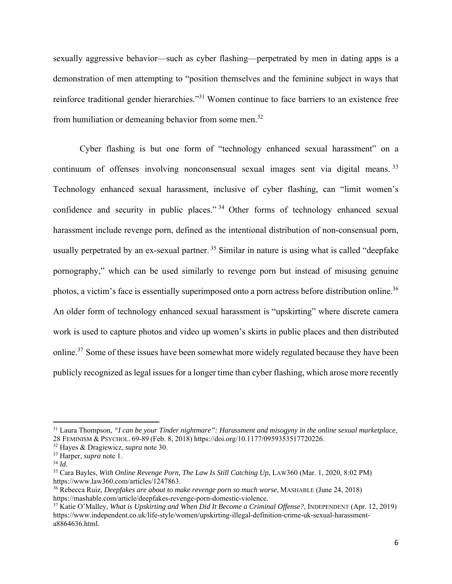sexually aggressive behavior—such as cyber flashing—perpetrated by men in dating apps is a demonstration of men attempting to "position themselves and the feminine subject in ways that reinforce traditional gender hierarchies."31 Women continue to face barriers to an existence free from humiliation or demeaning behavior from some men.<sup>32</sup>

Cyber flashing is but one form of "technology enhanced sexual harassment" on a continuum of offenses involving nonconsensual sexual images sent via digital means.<sup>33</sup> Technology enhanced sexual harassment, inclusive of cyber flashing, can "limit women's confidence and security in public places."<sup>34</sup> Other forms of technology enhanced sexual harassment include revenge porn, defined as the intentional distribution of non-consensual porn, usually perpetrated by an ex-sexual partner.<sup>35</sup> Similar in nature is using what is called "deepfake" pornography," which can be used similarly to revenge porn but instead of misusing genuine photos, a victim's face is essentially superimposed onto a porn actress before distribution online.<sup>36</sup> An older form of technology enhanced sexual harassment is "upskirting" where discrete camera work is used to capture photos and video up women's skirts in public places and then distributed online.<sup>37</sup> Some of these issues have been somewhat more widely regulated because they have been publicly recognized as legal issues for a longer time than cyber flashing, which arose more recently

<sup>31</sup> Laura Thompson, *"I can be your Tinder nightmare": Harassment and misogyny in the online sexual marketplace*, 28 FEMINISM & PSYCHOL. 69-89 (Feb. 8, 2018) https://doi.org/10.1177/0959353517720226.

<sup>32</sup> Hayes & Dragiewicz, *supra* note 30.

<sup>33</sup> Harper, *supra* note 1.

<sup>34</sup> *Id.*

<sup>35</sup> Cara Bayles, *With Online Revenge Porn, The Law Is Still Catching Up*, LAW360 (Mar. 1, 2020, 8:02 PM) https://www.law360.com/articles/1247863.

<sup>36</sup> Rebecca Ruiz, *Deepfakes are about to make revenge porn so much worse*, MASHABLE (June 24, 2018) https://mashable.com/article/deepfakes-revenge-porn-domestic-violence.

<sup>37</sup> Katie O'Malley, *What is Upskirting and When Did It Become a Criminal Offense?*, INDEPENDENT (Apr. 12, 2019) https://www.independent.co.uk/life-style/women/upskirting-illegal-definition-crime-uk-sexual-harassmenta8864636.html.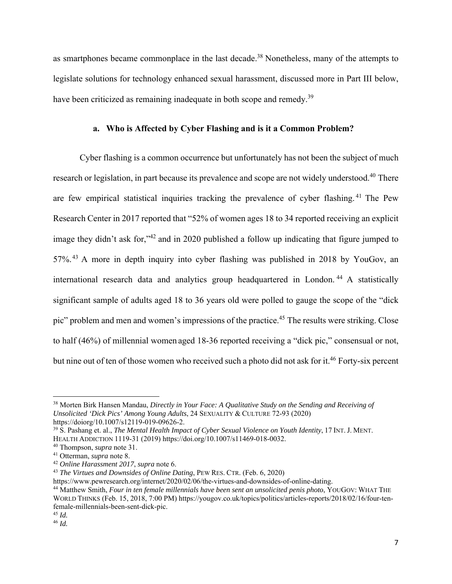as smartphones became commonplace in the last decade.<sup>38</sup> Nonetheless, many of the attempts to legislate solutions for technology enhanced sexual harassment, discussed more in Part III below, have been criticized as remaining inadequate in both scope and remedy.<sup>39</sup>

#### **a. Who is Affected by Cyber Flashing and is it a Common Problem?**

 Cyber flashing is a common occurrence but unfortunately has not been the subject of much research or legislation, in part because its prevalence and scope are not widely understood.<sup>40</sup> There are few empirical statistical inquiries tracking the prevalence of cyber flashing. 41 The Pew Research Center in 2017 reported that "52% of women ages 18 to 34 reported receiving an explicit image they didn't ask for,"<sup>42</sup> and in 2020 published a follow up indicating that figure jumped to 57%. 43 A more in depth inquiry into cyber flashing was published in 2018 by YouGov, an international research data and analytics group headquartered in London. 44 A statistically significant sample of adults aged 18 to 36 years old were polled to gauge the scope of the "dick pic" problem and men and women's impressions of the practice.<sup>45</sup> The results were striking. Close to half (46%) of millennial women aged 18-36 reported receiving a "dick pic," consensual or not, but nine out of ten of those women who received such a photo did not ask for it.<sup>46</sup> Forty-six percent

<sup>38</sup> Morten Birk Hansen Mandau, *Directly in Your Face: A Qualitative Study on the Sending and Receiving of Unsolicited 'Dick Pics' Among Young Adults*, 24 SEXUALITY & CULTURE 72-93 (2020) https://doiorg/10.1007/s12119-019-09626-2.

<sup>39</sup> S. Pashang et. al., *The Mental Health Impact of Cyber Sexual Violence on Youth Identity*, 17 INT. J. MENT.

HEALTH ADDICTION 1119-31 (2019) https://doi.org/10.1007/s11469-018-0032.

<sup>40</sup> Thompson, *supra* note 31. 41 Otterman, *supra* note 8. 42 *Online Harassment 2017*, *supra* note 6.

<sup>&</sup>lt;sup>43</sup> *The Virtues and Downsides of Online Dating*, PEW RES. CTR. (Feb. 6, 2020)<br>https://www.pewresearch.org/internet/2020/02/06/the-virtues-and-downsides-of-online-dating.

<sup>&</sup>lt;sup>44</sup> Matthew Smith, *Four in ten female millennials have been sent an unsolicited penis photo*, YOUGOV: WHAT THE WORLD THINKS (Feb. 15, 2018, 7:00 PM) https://yougov.co.uk/topics/politics/articles-reports/2018/02/16/four-tenfemale-millennials-been-sent-dick-pic.

<sup>45</sup> *Id.*

<sup>46</sup> *Id.*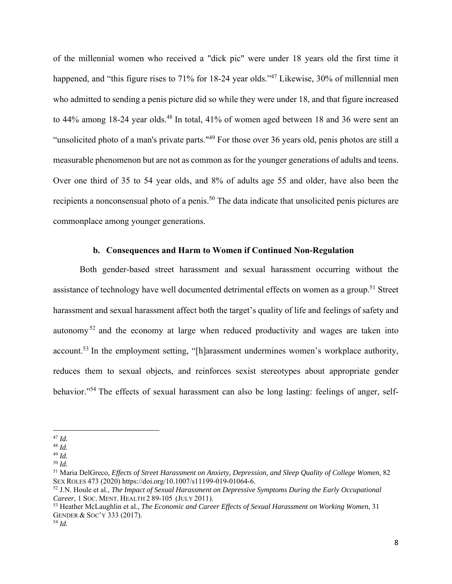of the millennial women who received a "dick pic" were under 18 years old the first time it happened, and "this figure rises to 71% for 18-24 year olds."<sup>47</sup> Likewise, 30% of millennial men who admitted to sending a penis picture did so while they were under 18, and that figure increased to  $44\%$  among 18-24 year olds.<sup>48</sup> In total,  $41\%$  of women aged between 18 and 36 were sent an "unsolicited photo of a man's private parts."<sup>49</sup> For those over 36 years old, penis photos are still a measurable phenomenon but are not as common as for the younger generations of adults and teens. Over one third of 35 to 54 year olds, and 8% of adults age 55 and older, have also been the recipients a nonconsensual photo of a penis.<sup>50</sup> The data indicate that unsolicited penis pictures are commonplace among younger generations.

#### **b. Consequences and Harm to Women if Continued Non-Regulation**

Both gender-based street harassment and sexual harassment occurring without the assistance of technology have well documented detrimental effects on women as a group.<sup>51</sup> Street harassment and sexual harassment affect both the target's quality of life and feelings of safety and autonomy<sup>52</sup> and the economy at large when reduced productivity and wages are taken into account.<sup>53</sup> In the employment setting, "[h]arassment undermines women's workplace authority, reduces them to sexual objects, and reinforces sexist stereotypes about appropriate gender behavior."54 The effects of sexual harassment can also be long lasting: feelings of anger, self-

<sup>47</sup> *Id.*

<sup>48</sup> *Id.*

<sup>49</sup> *Id.*

<sup>50</sup> *Id.*

<sup>51</sup> Maria DelGreco, *Effects of Street Harassment on Anxiety, Depression, and Sleep Quality of College Women*, 82 SEX ROLES 473 (2020) https://doi.org/10.1007/s11199-019-01064-6.

<sup>52</sup> J.N. Houle et al., *The Impact of Sexual Harassment on Depressive Symptoms During the Early Occupational Career*, 1 SOC. MENT. HEALTH 2 89-105 (JULY 2011).

<sup>53</sup> Heather McLaughlin et al., *The Economic and Career Effects of Sexual Harassment on Working Women*, 31 GENDER & SOC'Y 333 (2017).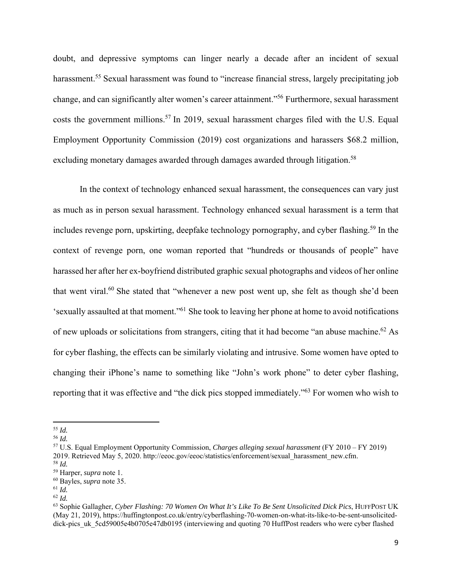doubt, and depressive symptoms can linger nearly a decade after an incident of sexual harassment.<sup>55</sup> Sexual harassment was found to "increase financial stress, largely precipitating job change, and can significantly alter women's career attainment."56 Furthermore, sexual harassment costs the government millions.<sup>57</sup> In 2019, sexual harassment charges filed with the U.S. Equal Employment Opportunity Commission (2019) cost organizations and harassers \$68.2 million, excluding monetary damages awarded through damages awarded through litigation.<sup>58</sup>

In the context of technology enhanced sexual harassment, the consequences can vary just as much as in person sexual harassment. Technology enhanced sexual harassment is a term that includes revenge porn, upskirting, deepfake technology pornography, and cyber flashing.<sup>59</sup> In the context of revenge porn, one woman reported that "hundreds or thousands of people" have harassed her after her ex-boyfriend distributed graphic sexual photographs and videos of her online that went viral.<sup>60</sup> She stated that "whenever a new post went up, she felt as though she'd been 'sexually assaulted at that moment."61 She took to leaving her phone at home to avoid notifications of new uploads or solicitations from strangers, citing that it had become "an abuse machine.62 As for cyber flashing, the effects can be similarly violating and intrusive. Some women have opted to changing their iPhone's name to something like "John's work phone" to deter cyber flashing, reporting that it was effective and "the dick pics stopped immediately."63 For women who wish to

<sup>55</sup> *Id.* 

<sup>56</sup> *Id.* 

<sup>57</sup> U.S. Equal Employment Opportunity Commission, *Charges alleging sexual harassment* (FY 2010 – FY 2019) 2019. Retrieved May 5, 2020. http://eeoc.gov/eeoc/statistics/enforcement/sexual\_harassment\_new.cfm. <sup>58</sup> *Id.*

<sup>59</sup> Harper, *supra* note 1.

<sup>60</sup> Bayles, *supra* note 35.

<sup>61</sup> *Id.* 

<sup>62</sup> *Id.*

<sup>63</sup> Sophie Gallagher, *Cyber Flashing: 70 Women On What It's Like To Be Sent Unsolicited Dick Pics*, HUFFPOST UK (May 21, 2019), https://huffingtonpost.co.uk/entry/cyberflashing-70-women-on-what-its-like-to-be-sent-unsoliciteddick-pics\_uk\_5cd59005e4b0705e47db0195 (interviewing and quoting 70 HuffPost readers who were cyber flashed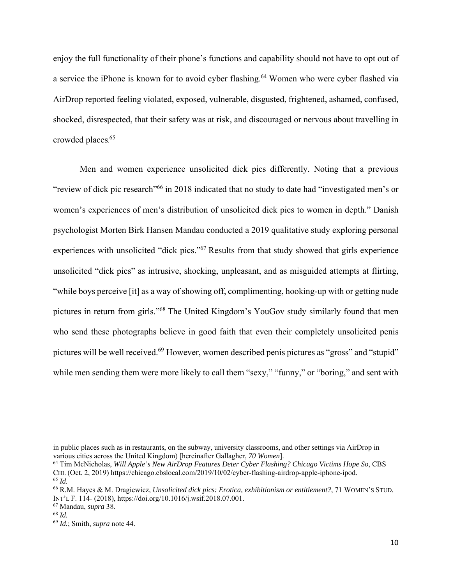enjoy the full functionality of their phone's functions and capability should not have to opt out of a service the iPhone is known for to avoid cyber flashing.<sup>64</sup> Women who were cyber flashed via AirDrop reported feeling violated, exposed, vulnerable, disgusted, frightened, ashamed, confused, shocked, disrespected, that their safety was at risk, and discouraged or nervous about travelling in crowded places. 65

Men and women experience unsolicited dick pics differently. Noting that a previous "review of dick pic research"66 in 2018 indicated that no study to date had "investigated men's or women's experiences of men's distribution of unsolicited dick pics to women in depth." Danish psychologist Morten Birk Hansen Mandau conducted a 2019 qualitative study exploring personal experiences with unsolicited "dick pics."<sup>67</sup> Results from that study showed that girls experience unsolicited "dick pics" as intrusive, shocking, unpleasant, and as misguided attempts at flirting, "while boys perceive [it] as a way of showing off, complimenting, hooking-up with or getting nude pictures in return from girls."68 The United Kingdom's YouGov study similarly found that men who send these photographs believe in good faith that even their completely unsolicited penis pictures will be well received.<sup>69</sup> However, women described penis pictures as "gross" and "stupid" while men sending them were more likely to call them "sexy," "funny," or "boring," and sent with

in public places such as in restaurants, on the subway, university classrooms, and other settings via AirDrop in various cities across the United Kingdom) [hereinafter Gallagher, *70 Women*].

<sup>64</sup> Tim McNicholas, *Will Apple's New AirDrop Features Deter Cyber Flashing? Chicago Victims Hope So*, CBS CHI. (Oct. 2, 2019) https://chicago.cbslocal.com/2019/10/02/cyber-flashing-airdrop-apple-iphone-ipod.  $65$  *Id.* 

<sup>66</sup> R.M. Hayes & M. Dragiewicz, *Unsolicited dick pics: Erotica, exhibitionism or entitlement?*, 71 WOMEN'S STUD. INT'L F. 114- (2018), https://doi.org/10.1016/j.wsif.2018.07.001.

<sup>67</sup> Mandau, *supra* 38.

<sup>68</sup> *Id.* 

<sup>69</sup> *Id.*; Smith, *supra* note 44.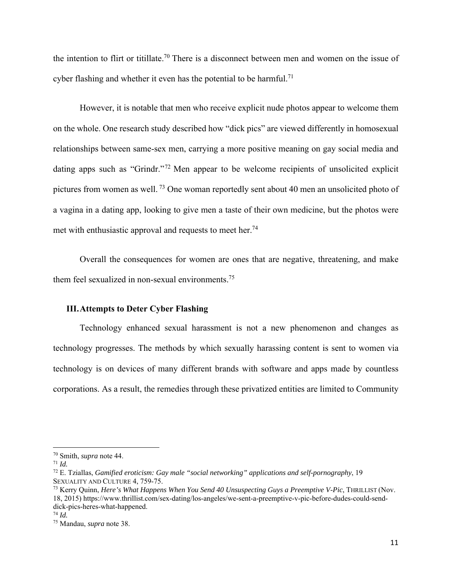the intention to flirt or titillate.70 There is a disconnect between men and women on the issue of cyber flashing and whether it even has the potential to be harmful.<sup>71</sup>

However, it is notable that men who receive explicit nude photos appear to welcome them on the whole. One research study described how "dick pics" are viewed differently in homosexual relationships between same-sex men, carrying a more positive meaning on gay social media and dating apps such as "Grindr."<sup>72</sup> Men appear to be welcome recipients of unsolicited explicit pictures from women as well. 73 One woman reportedly sent about 40 men an unsolicited photo of a vagina in a dating app, looking to give men a taste of their own medicine, but the photos were met with enthusiastic approval and requests to meet her.<sup>74</sup>

Overall the consequences for women are ones that are negative, threatening, and make them feel sexualized in non-sexual environments.<sup>75</sup>

#### **III.Attempts to Deter Cyber Flashing**

Technology enhanced sexual harassment is not a new phenomenon and changes as technology progresses. The methods by which sexually harassing content is sent to women via technology is on devices of many different brands with software and apps made by countless corporations. As a result, the remedies through these privatized entities are limited to Community

<sup>70</sup> Smith, *supra* note 44.

<sup>71</sup> *Id.*

<sup>72</sup> E. Tziallas, *Gamified eroticism: Gay male "social networking" applications and self-pornography*, 19 SEXUALITY AND CULTURE 4, 759-75.

<sup>73</sup> Kerry Quinn, *Here's What Happens When You Send 40 Unsuspecting Guys a Preemptive V-Pic*, THRILLIST (Nov. 18, 2015) https://www.thrillist.com/sex-dating/los-angeles/we-sent-a-preemptive-v-pic-before-dudes-could-senddick-pics-heres-what-happened.

<sup>74</sup> *Id.*

<sup>75</sup> Mandau, *supra* note 38.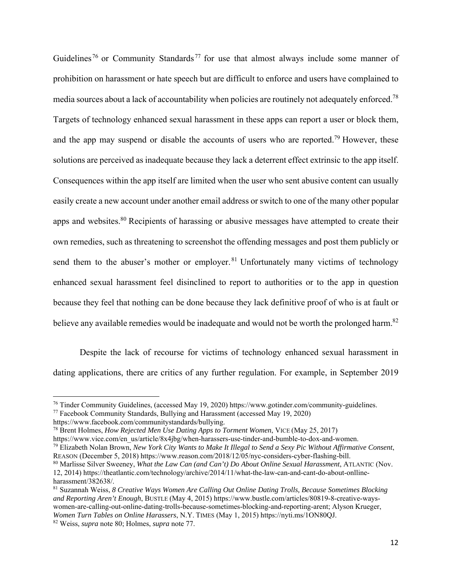Guidelines<sup>76</sup> or Community Standards<sup>77</sup> for use that almost always include some manner of prohibition on harassment or hate speech but are difficult to enforce and users have complained to media sources about a lack of accountability when policies are routinely not adequately enforced.<sup>78</sup> Targets of technology enhanced sexual harassment in these apps can report a user or block them, and the app may suspend or disable the accounts of users who are reported.<sup>79</sup> However, these solutions are perceived as inadequate because they lack a deterrent effect extrinsic to the app itself. Consequences within the app itself are limited when the user who sent abusive content can usually easily create a new account under another email address or switch to one of the many other popular apps and websites.<sup>80</sup> Recipients of harassing or abusive messages have attempted to create their own remedies, such as threatening to screenshot the offending messages and post them publicly or send them to the abuser's mother or employer.  $81$  Unfortunately many victims of technology enhanced sexual harassment feel disinclined to report to authorities or to the app in question because they feel that nothing can be done because they lack definitive proof of who is at fault or believe any available remedies would be inadequate and would not be worth the prolonged harm.<sup>82</sup>

Despite the lack of recourse for victims of technology enhanced sexual harassment in dating applications, there are critics of any further regulation. For example, in September 2019

<sup>&</sup>lt;sup>76</sup> Tinder Community Guidelines, (accessed May 19, 2020) https://www.gotinder.com/community-guidelines.<br><sup>77</sup> Facebook Community Standards, Bullying and Harassment (accessed May 19, 2020)

https://www.facebook.com/communitystandards/bullying.

<sup>78</sup> Brent Holmes, *How Rejected Men Use Dating Apps to Torment Women*, VICE (May 25, 2017)

https://www.vice.com/en\_us/article/8x4jbg/when-harassers-use-tinder-and-bumble-to-dox-and-women.

<sup>79</sup> Elizabeth Nolan Brown, *New York City Wants to Make It Illegal to Send a Sexy Pic Without Affirmative Consent*, REASON (December 5, 2018) https://www.reason.com/2018/12/05/nyc-considers-cyber-flashing-bill.

<sup>80</sup> Marlisse Silver Sweeney, *What the Law Can (and Can't) Do About Online Sexual Harassment*, ATLANTIC (Nov. 12, 2014) https://theatlantic.com/technology/archive/2014/11/what-the-law-can-and-cant-do-about-onllineharassment/382638/.

<sup>81</sup> Suzannah Weiss, *8 Creative Ways Women Are Calling Out Online Dating Trolls, Because Sometimes Blocking and Reporting Aren't Enough*, BUSTLE (May 4, 2015) https://www.bustle.com/articles/80819-8-creative-wayswomen-are-calling-out-online-dating-trolls-because-sometimes-blocking-and-reporting-arent; Alyson Krueger, *Women Turn Tables on Online Harassers*, N.Y. TIMES (May 1, 2015) https://nyti.ms/1ON80QJ. 82 Weiss, *supra* note 80; Holmes, *supra* note 77.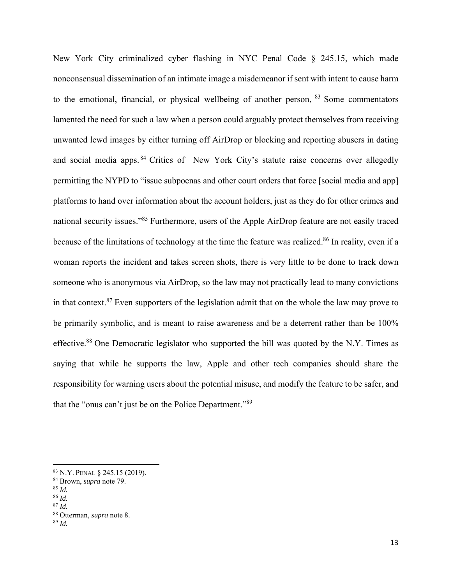New York City criminalized cyber flashing in NYC Penal Code § 245.15, which made nonconsensual dissemination of an intimate image a misdemeanor if sent with intent to cause harm to the emotional, financial, or physical wellbeing of another person, <sup>83</sup> Some commentators lamented the need for such a law when a person could arguably protect themselves from receiving unwanted lewd images by either turning off AirDrop or blocking and reporting abusers in dating and social media apps. 84 Critics of New York City's statute raise concerns over allegedly permitting the NYPD to "issue subpoenas and other court orders that force [social media and app] platforms to hand over information about the account holders, just as they do for other crimes and national security issues."85 Furthermore, users of the Apple AirDrop feature are not easily traced because of the limitations of technology at the time the feature was realized.<sup>86</sup> In reality, even if a woman reports the incident and takes screen shots, there is very little to be done to track down someone who is anonymous via AirDrop, so the law may not practically lead to many convictions in that context. $87$  Even supporters of the legislation admit that on the whole the law may prove to be primarily symbolic, and is meant to raise awareness and be a deterrent rather than be 100% effective.<sup>88</sup> One Democratic legislator who supported the bill was quoted by the N.Y. Times as saying that while he supports the law, Apple and other tech companies should share the responsibility for warning users about the potential misuse, and modify the feature to be safer, and that the "onus can't just be on the Police Department."89

<sup>83</sup> N.Y. PENAL § 245.15 (2019).

<sup>84</sup> Brown, *supra* note 79.

<sup>85</sup> *Id.*

<sup>86</sup> *Id.* 

<sup>87</sup> *Id.* 

<sup>88</sup> Otterman, *supra* note 8.

<sup>89</sup> *Id.*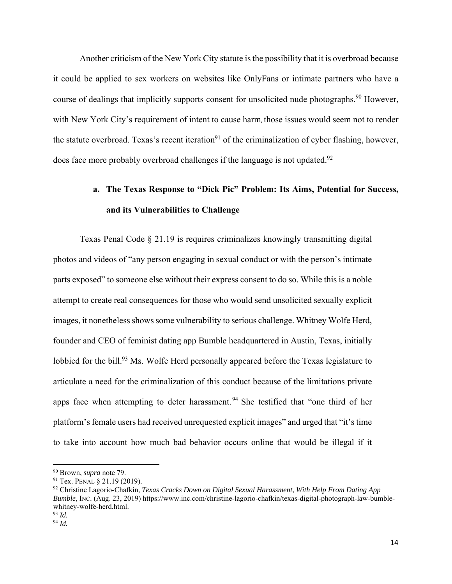Another criticism of the New York City statute is the possibility that it is overbroad because it could be applied to sex workers on websites like OnlyFans or intimate partners who have a course of dealings that implicitly supports consent for unsolicited nude photographs.<sup>90</sup> However, with New York City's requirement of intent to cause harm, those issues would seem not to render the statute overbroad. Texas's recent iteration<sup>91</sup> of the criminalization of cyber flashing, however, does face more probably overbroad challenges if the language is not updated.<sup>92</sup>

## **a. The Texas Response to "Dick Pic" Problem: Its Aims, Potential for Success, and its Vulnerabilities to Challenge**

Texas Penal Code § 21.19 is requires criminalizes knowingly transmitting digital photos and videos of "any person engaging in sexual conduct or with the person's intimate parts exposed" to someone else without their express consent to do so. While this is a noble attempt to create real consequences for those who would send unsolicited sexually explicit images, it nonetheless shows some vulnerability to serious challenge. Whitney Wolfe Herd, founder and CEO of feminist dating app Bumble headquartered in Austin, Texas, initially lobbied for the bill.<sup>93</sup> Ms. Wolfe Herd personally appeared before the Texas legislature to articulate a need for the criminalization of this conduct because of the limitations private apps face when attempting to deter harassment.<sup>94</sup> She testified that "one third of her platform's female users had received unrequested explicit images" and urged that "it's time to take into account how much bad behavior occurs online that would be illegal if it

<sup>90</sup> Brown, *supra* note 79.

<sup>91</sup> Tex. PENAL § 21.19 (2019).

<sup>92</sup> Christine Lagorio-Chafkin, *Texas Cracks Down on Digital Sexual Harassment, With Help From Dating App Bumble*, INC. (Aug. 23, 2019) https://www.inc.com/christine-lagorio-chafkin/texas-digital-photograph-law-bumblewhitney-wolfe-herd.html.

<sup>93</sup> *Id.* 

<sup>94</sup> *Id.*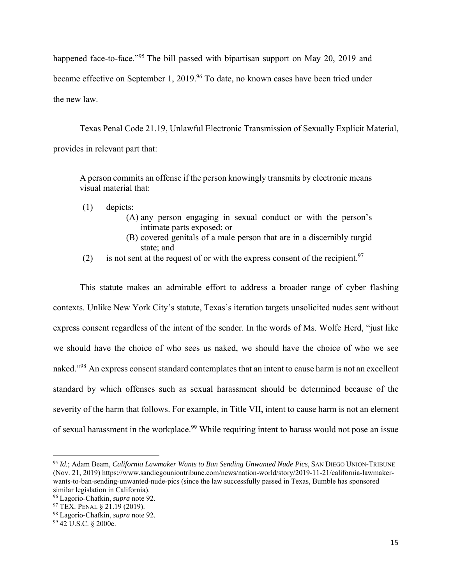happened face-to-face."<sup>95</sup> The bill passed with bipartisan support on May 20, 2019 and became effective on September 1, 2019.<sup>96</sup> To date, no known cases have been tried under the new law.

Texas Penal Code 21.19, Unlawful Electronic Transmission of Sexually Explicit Material, provides in relevant part that:

A person commits an offense if the person knowingly transmits by electronic means visual material that:

- (1) depicts:
	- (A) any person engaging in sexual conduct or with the person's intimate parts exposed; or
	- (B) covered genitals of a male person that are in a discernibly turgid state; and
- (2) is not sent at the request of or with the express consent of the recipient.<sup>97</sup>

This statute makes an admirable effort to address a broader range of cyber flashing contexts. Unlike New York City's statute, Texas's iteration targets unsolicited nudes sent without express consent regardless of the intent of the sender. In the words of Ms. Wolfe Herd, "just like we should have the choice of who sees us naked, we should have the choice of who we see naked."<sup>98</sup> An express consent standard contemplates that an intent to cause harm is not an excellent standard by which offenses such as sexual harassment should be determined because of the severity of the harm that follows. For example, in Title VII, intent to cause harm is not an element of sexual harassment in the workplace.<sup>99</sup> While requiring intent to harass would not pose an issue

<sup>95</sup> *Id.*; Adam Beam, *California Lawmaker Wants to Ban Sending Unwanted Nude Pics*, SAN DIEGO UNION-TRIBUNE (Nov. 21, 2019) https://www.sandiegouniontribune.com/news/nation-world/story/2019-11-21/california-lawmakerwants-to-ban-sending-unwanted-nude-pics (since the law successfully passed in Texas, Bumble has sponsored similar legislation in California).

<sup>96</sup> Lagorio-Chafkin, *supra* note 92.

<sup>97</sup> TEX. PENAL § 21.19 (2019).

<sup>98</sup> Lagorio-Chafkin, *supra* note 92.

<sup>99 42</sup> U.S.C. § 2000e.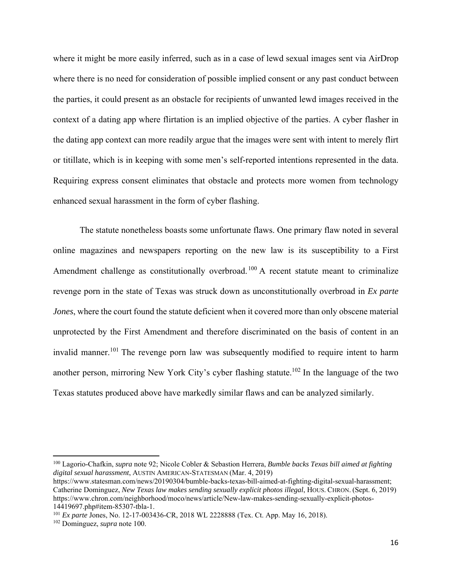where it might be more easily inferred, such as in a case of lewd sexual images sent via AirDrop where there is no need for consideration of possible implied consent or any past conduct between the parties, it could present as an obstacle for recipients of unwanted lewd images received in the context of a dating app where flirtation is an implied objective of the parties. A cyber flasher in the dating app context can more readily argue that the images were sent with intent to merely flirt or titillate, which is in keeping with some men's self-reported intentions represented in the data. Requiring express consent eliminates that obstacle and protects more women from technology enhanced sexual harassment in the form of cyber flashing.

The statute nonetheless boasts some unfortunate flaws. One primary flaw noted in several online magazines and newspapers reporting on the new law is its susceptibility to a First Amendment challenge as constitutionally overbroad.<sup>100</sup> A recent statute meant to criminalize revenge porn in the state of Texas was struck down as unconstitutionally overbroad in *Ex parte Jones*, where the court found the statute deficient when it covered more than only obscene material unprotected by the First Amendment and therefore discriminated on the basis of content in an invalid manner.<sup>101</sup> The revenge porn law was subsequently modified to require intent to harm another person, mirroring New York City's cyber flashing statute.<sup>102</sup> In the language of the two Texas statutes produced above have markedly similar flaws and can be analyzed similarly.

<sup>100</sup> Lagorio-Chafkin, *supra* note 92; Nicole Cobler & Sebastion Herrera, *Bumble backs Texas bill aimed at fighting digital sexual harassment*, AUSTIN AMERICAN-STATESMAN (Mar. 4, 2019)

https://www.statesman.com/news/20190304/bumble-backs-texas-bill-aimed-at-fighting-digital-sexual-harassment; Catherine Dominguez, *New Texas law makes sending sexually explicit photos illegal*, HOUS. CHRON. (Sept. 6, 2019) https://www.chron.com/neighborhood/moco/news/article/New-law-makes-sending-sexually-explicit-photos-14419697.php#item-85307-tbla-1.

<sup>101</sup> *Ex parte* Jones, No. 12-17-003436-CR, 2018 WL 2228888 (Tex. Ct. App. May 16, 2018).

<sup>102</sup> Dominguez, *supra* note 100.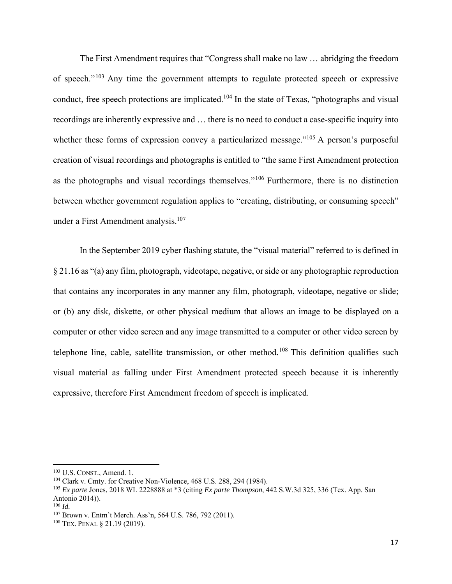The First Amendment requires that "Congress shall make no law … abridging the freedom of speech."103 Any time the government attempts to regulate protected speech or expressive conduct, free speech protections are implicated.<sup>104</sup> In the state of Texas, "photographs and visual recordings are inherently expressive and … there is no need to conduct a case-specific inquiry into whether these forms of expression convey a particularized message."<sup>105</sup> A person's purposeful creation of visual recordings and photographs is entitled to "the same First Amendment protection as the photographs and visual recordings themselves."106 Furthermore, there is no distinction between whether government regulation applies to "creating, distributing, or consuming speech" under a First Amendment analysis.<sup>107</sup>

In the September 2019 cyber flashing statute, the "visual material" referred to is defined in § 21.16 as "(a) any film, photograph, videotape, negative, or side or any photographic reproduction that contains any incorporates in any manner any film, photograph, videotape, negative or slide; or (b) any disk, diskette, or other physical medium that allows an image to be displayed on a computer or other video screen and any image transmitted to a computer or other video screen by telephone line, cable, satellite transmission, or other method.<sup>108</sup> This definition qualifies such visual material as falling under First Amendment protected speech because it is inherently expressive, therefore First Amendment freedom of speech is implicated.

<sup>103</sup> U.S. CONST., Amend. 1.

<sup>104</sup> Clark v. Cmty. for Creative Non-Violence, 468 U.S. 288, 294 (1984).

<sup>105</sup> *Ex parte* Jones, 2018 WL 2228888 at \*3 (citing *Ex parte Thompson*, 442 S.W.3d 325, 336 (Tex. App. San Antonio 2014)).

<sup>106</sup> *Id.*

<sup>107</sup> Brown v. Entm't Merch. Ass'n, 564 U.S. 786, 792 (2011).

<sup>108</sup> TEX. PENAL § 21.19 (2019).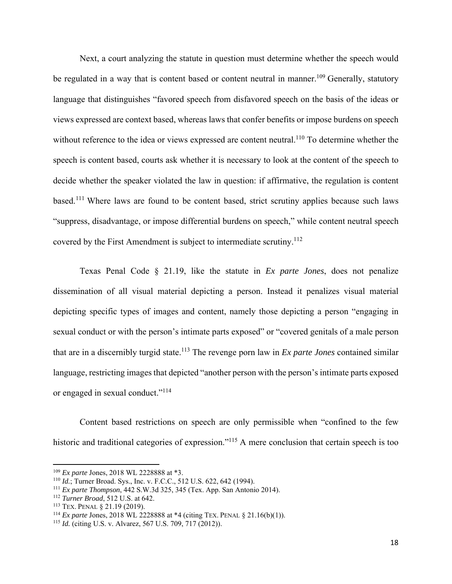Next, a court analyzing the statute in question must determine whether the speech would be regulated in a way that is content based or content neutral in manner.<sup>109</sup> Generally, statutory language that distinguishes "favored speech from disfavored speech on the basis of the ideas or views expressed are context based, whereas laws that confer benefits or impose burdens on speech without reference to the idea or views expressed are content neutral.<sup>110</sup> To determine whether the speech is content based, courts ask whether it is necessary to look at the content of the speech to decide whether the speaker violated the law in question: if affirmative, the regulation is content based.111 Where laws are found to be content based, strict scrutiny applies because such laws "suppress, disadvantage, or impose differential burdens on speech," while content neutral speech covered by the First Amendment is subject to intermediate scrutiny.<sup>112</sup>

Texas Penal Code § 21.19, like the statute in *Ex parte Jones*, does not penalize dissemination of all visual material depicting a person. Instead it penalizes visual material depicting specific types of images and content, namely those depicting a person "engaging in sexual conduct or with the person's intimate parts exposed" or "covered genitals of a male person that are in a discernibly turgid state.113 The revenge porn law in *Ex parte Jones* contained similar language, restricting images that depicted "another person with the person's intimate parts exposed or engaged in sexual conduct."114

Content based restrictions on speech are only permissible when "confined to the few historic and traditional categories of expression."<sup>115</sup> A mere conclusion that certain speech is too

<sup>109</sup> *Ex parte* Jones, 2018 WL 2228888 at \*3.

<sup>110</sup> *Id.*; Turner Broad. Sys., Inc. v. F.C.C., 512 U.S. 622, 642 (1994).

<sup>111</sup> *Ex parte Thompson*, 442 S.W.3d 325, 345 (Tex. App. San Antonio 2014). 112 *Turner Broad*, 512 U.S. at 642.

<sup>113</sup> TEX. PENAL § 21.19 (2019). 114 *Ex parte* Jones, 2018 WL 2228888 at \*4 (citing TEX. PENAL § 21.16(b)(1)).

<sup>115</sup> *Id.* (citing U.S. v. Alvarez, 567 U.S. 709, 717 (2012)).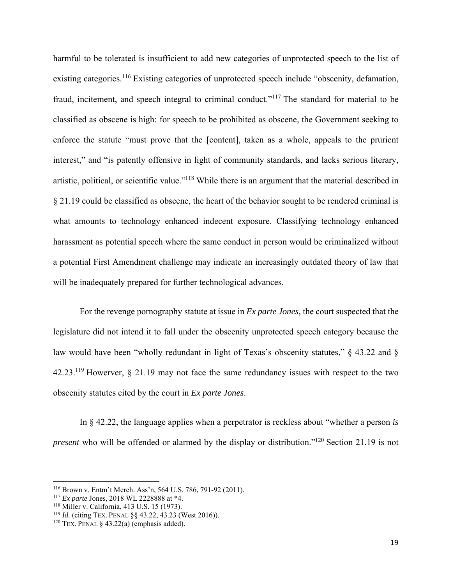harmful to be tolerated is insufficient to add new categories of unprotected speech to the list of existing categories.<sup>116</sup> Existing categories of unprotected speech include "obscenity, defamation, fraud, incitement, and speech integral to criminal conduct."<sup>117</sup> The standard for material to be classified as obscene is high: for speech to be prohibited as obscene, the Government seeking to enforce the statute "must prove that the [content], taken as a whole, appeals to the prurient interest," and "is patently offensive in light of community standards, and lacks serious literary, artistic, political, or scientific value."118 While there is an argument that the material described in § 21.19 could be classified as obscene, the heart of the behavior sought to be rendered criminal is what amounts to technology enhanced indecent exposure. Classifying technology enhanced harassment as potential speech where the same conduct in person would be criminalized without a potential First Amendment challenge may indicate an increasingly outdated theory of law that will be inadequately prepared for further technological advances.

For the revenge pornography statute at issue in *Ex parte Jones*, the court suspected that the legislature did not intend it to fall under the obscenity unprotected speech category because the law would have been "wholly redundant in light of Texas's obscenity statutes," § 43.22 and § 42.23.119 Howerver, § 21.19 may not face the same redundancy issues with respect to the two obscenity statutes cited by the court in *Ex parte Jones*.

In § 42.22, the language applies when a perpetrator is reckless about "whether a person *is present* who will be offended or alarmed by the display or distribution."<sup>120</sup> Section 21.19 is not

<sup>116</sup> Brown v. Entm't Merch. Ass'n, 564 U.S. 786, 791-92 (2011).

<sup>117</sup> *Ex parte* Jones, 2018 WL 2228888 at \*4.

<sup>118</sup> Miller v. California, 413 U.S. 15 (1973).

<sup>119</sup> *Id.* (citing TEX. PENAL §§ 43.22, 43.23 (West 2016)).

<sup>&</sup>lt;sup>120</sup> TEX. PENAL  $\delta$  43.22(a) (emphasis added).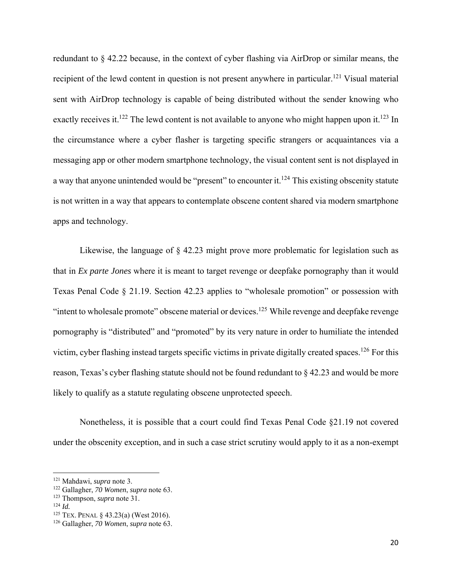redundant to § 42.22 because, in the context of cyber flashing via AirDrop or similar means, the recipient of the lewd content in question is not present anywhere in particular.<sup>121</sup> Visual material sent with AirDrop technology is capable of being distributed without the sender knowing who exactly receives it.<sup>122</sup> The lewd content is not available to anyone who might happen upon it.<sup>123</sup> In the circumstance where a cyber flasher is targeting specific strangers or acquaintances via a messaging app or other modern smartphone technology, the visual content sent is not displayed in a way that anyone unintended would be "present" to encounter it.<sup>124</sup> This existing obscenity statute is not written in a way that appears to contemplate obscene content shared via modern smartphone apps and technology.

Likewise, the language of § 42.23 might prove more problematic for legislation such as that in *Ex parte Jones* where it is meant to target revenge or deepfake pornography than it would Texas Penal Code § 21.19. Section 42.23 applies to "wholesale promotion" or possession with "intent to wholesale promote" obscene material or devices.<sup>125</sup> While revenge and deepfake revenge pornography is "distributed" and "promoted" by its very nature in order to humiliate the intended victim, cyber flashing instead targets specific victims in private digitally created spaces.<sup>126</sup> For this reason, Texas's cyber flashing statute should not be found redundant to § 42.23 and would be more likely to qualify as a statute regulating obscene unprotected speech.

Nonetheless, it is possible that a court could find Texas Penal Code §21.19 not covered under the obscenity exception, and in such a case strict scrutiny would apply to it as a non-exempt

<sup>121</sup> Mahdawi, *supra* note 3. 122 Gallagher, *70 Women*, *supra* note 63.

<sup>123</sup> Thompson, *supra* note 31. 124 *Id.* 

<sup>125</sup> TEX. PENAL § 43.23(a) (West 2016).

<sup>126</sup> Gallagher, *70 Women*, *supra* note 63.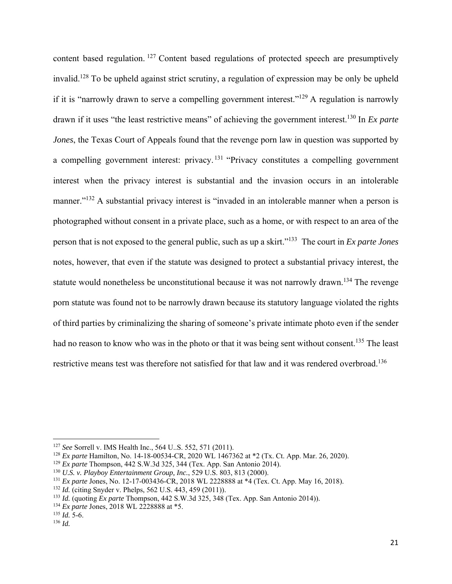content based regulation. 127 Content based regulations of protected speech are presumptively invalid.128 To be upheld against strict scrutiny, a regulation of expression may be only be upheld if it is "narrowly drawn to serve a compelling government interest."129 A regulation is narrowly drawn if it uses "the least restrictive means" of achieving the government interest.130 In *Ex parte Jones*, the Texas Court of Appeals found that the revenge porn law in question was supported by a compelling government interest: privacy. 131 "Privacy constitutes a compelling government interest when the privacy interest is substantial and the invasion occurs in an intolerable manner."<sup>132</sup> A substantial privacy interest is "invaded in an intolerable manner when a person is photographed without consent in a private place, such as a home, or with respect to an area of the person that is not exposed to the general public, such as up a skirt."133 The court in *Ex parte Jones* notes, however, that even if the statute was designed to protect a substantial privacy interest, the statute would nonetheless be unconstitutional because it was not narrowly drawn.<sup>134</sup> The revenge porn statute was found not to be narrowly drawn because its statutory language violated the rights of third parties by criminalizing the sharing of someone's private intimate photo even if the sender had no reason to know who was in the photo or that it was being sent without consent.<sup>135</sup> The least restrictive means test was therefore not satisfied for that law and it was rendered overbroad.<sup>136</sup>

<sup>134</sup> *Ex parte Jones*, 2018 WL 2228888 at \*5.

<sup>127</sup> *See* Sorrell v. IMS Health Inc., 564 U..S. 552, 571 (2011).

<sup>128</sup> *Ex parte* Hamilton, No. 14-18-00534-CR, 2020 WL 1467362 at \*2 (Tx. Ct. App. Mar. 26, 2020).

<sup>129</sup> *Ex parte* Thompson, 442 S.W.3d 325, 344 (Tex. App. San Antonio 2014).

<sup>130</sup> *U.S. v. Playboy Entertainment Group, Inc.*, 529 U.S. 803, 813 (2000).

<sup>131</sup> *Ex parte* Jones, No. 12-17-003436-CR, 2018 WL 2228888 at \*4 (Tex. Ct. App. May 16, 2018).

<sup>132</sup> *Id.* (citing Snyder v. Phelps, 562 U.S. 443, 459 (2011)).

<sup>133</sup> *Id.* (quoting *Ex parte* Thompson, 442 S.W.3d 325, 348 (Tex. App. San Antonio 2014)).

<sup>135</sup> *Id.* 5-6.

 $136$  *Id.*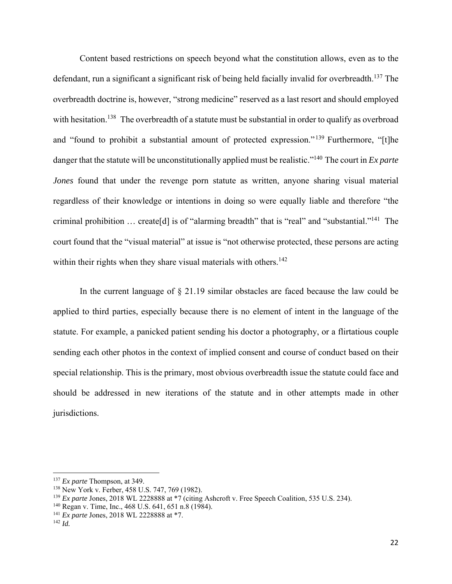Content based restrictions on speech beyond what the constitution allows, even as to the defendant, run a significant a significant risk of being held facially invalid for overbreadth.<sup>137</sup> The overbreadth doctrine is, however, "strong medicine" reserved as a last resort and should employed with hesitation.<sup>138</sup> The overbreadth of a statute must be substantial in order to qualify as overbroad and "found to prohibit a substantial amount of protected expression." 139 Furthermore, "[t]he danger that the statute will be unconstitutionally applied must be realistic."140 The court in *Ex parte Jones* found that under the revenge porn statute as written, anyone sharing visual material regardless of their knowledge or intentions in doing so were equally liable and therefore "the criminal prohibition … create[d] is of "alarming breadth" that is "real" and "substantial."141 The court found that the "visual material" at issue is "not otherwise protected, these persons are acting within their rights when they share visual materials with others.<sup>142</sup>

In the current language of § 21.19 similar obstacles are faced because the law could be applied to third parties, especially because there is no element of intent in the language of the statute. For example, a panicked patient sending his doctor a photography, or a flirtatious couple sending each other photos in the context of implied consent and course of conduct based on their special relationship. This is the primary, most obvious overbreadth issue the statute could face and should be addressed in new iterations of the statute and in other attempts made in other jurisdictions.

<sup>137</sup> *Ex parte* Thompson, at 349.

<sup>138</sup> New York v. Ferber, 458 U.S. 747, 769 (1982).

<sup>139</sup> *Ex parte* Jones, 2018 WL 2228888 at \*7 (citing Ashcroft v. Free Speech Coalition, 535 U.S. 234).

<sup>140</sup> Regan v. Time, Inc., 468 U.S. 641, 651 n.8 (1984). 141 *Ex parte* Jones, 2018 WL 2228888 at \*7. 142 *Id.*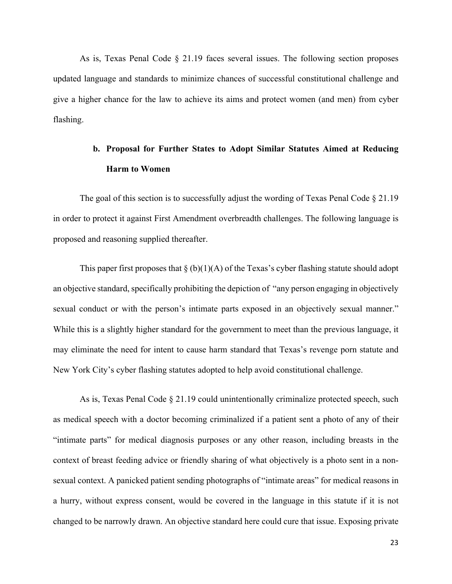As is, Texas Penal Code § 21.19 faces several issues. The following section proposes updated language and standards to minimize chances of successful constitutional challenge and give a higher chance for the law to achieve its aims and protect women (and men) from cyber flashing.

## **b. Proposal for Further States to Adopt Similar Statutes Aimed at Reducing Harm to Women**

The goal of this section is to successfully adjust the wording of Texas Penal Code § 21.19 in order to protect it against First Amendment overbreadth challenges. The following language is proposed and reasoning supplied thereafter.

This paper first proposes that  $\S (b)(1)(A)$  of the Texas's cyber flashing statute should adopt an objective standard, specifically prohibiting the depiction of "any person engaging in objectively sexual conduct or with the person's intimate parts exposed in an objectively sexual manner." While this is a slightly higher standard for the government to meet than the previous language, it may eliminate the need for intent to cause harm standard that Texas's revenge porn statute and New York City's cyber flashing statutes adopted to help avoid constitutional challenge.

As is, Texas Penal Code § 21.19 could unintentionally criminalize protected speech, such as medical speech with a doctor becoming criminalized if a patient sent a photo of any of their "intimate parts" for medical diagnosis purposes or any other reason, including breasts in the context of breast feeding advice or friendly sharing of what objectively is a photo sent in a nonsexual context. A panicked patient sending photographs of "intimate areas" for medical reasons in a hurry, without express consent, would be covered in the language in this statute if it is not changed to be narrowly drawn. An objective standard here could cure that issue. Exposing private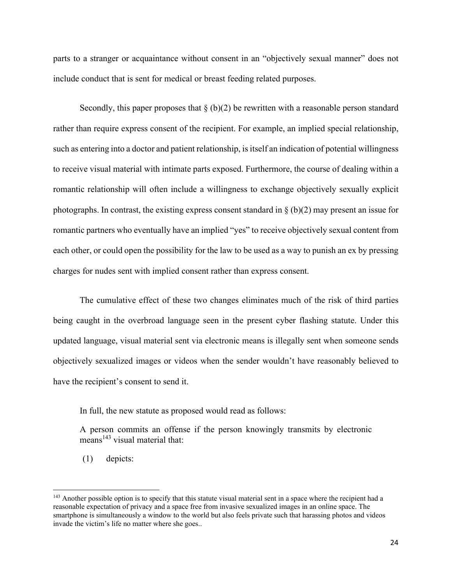parts to a stranger or acquaintance without consent in an "objectively sexual manner" does not include conduct that is sent for medical or breast feeding related purposes.

Secondly, this paper proposes that  $\S$  (b)(2) be rewritten with a reasonable person standard rather than require express consent of the recipient. For example, an implied special relationship, such as entering into a doctor and patient relationship, is itself an indication of potential willingness to receive visual material with intimate parts exposed. Furthermore, the course of dealing within a romantic relationship will often include a willingness to exchange objectively sexually explicit photographs. In contrast, the existing express consent standard in  $\S (b)(2)$  may present an issue for romantic partners who eventually have an implied "yes" to receive objectively sexual content from each other, or could open the possibility for the law to be used as a way to punish an ex by pressing charges for nudes sent with implied consent rather than express consent.

The cumulative effect of these two changes eliminates much of the risk of third parties being caught in the overbroad language seen in the present cyber flashing statute. Under this updated language, visual material sent via electronic means is illegally sent when someone sends objectively sexualized images or videos when the sender wouldn't have reasonably believed to have the recipient's consent to send it.

In full, the new statute as proposed would read as follows:

A person commits an offense if the person knowingly transmits by electronic  $\text{means}^{143}$  visual material that:

(1) depicts:

<sup>&</sup>lt;sup>143</sup> Another possible option is to specify that this statute visual material sent in a space where the recipient had a reasonable expectation of privacy and a space free from invasive sexualized images in an online space. The smartphone is simultaneously a window to the world but also feels private such that harassing photos and videos invade the victim's life no matter where she goes..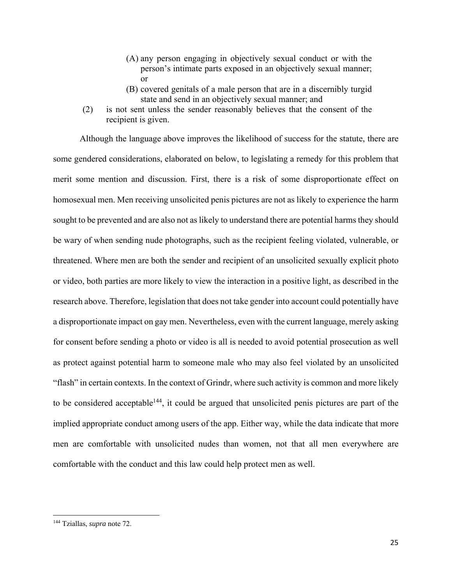- (A) any person engaging in objectively sexual conduct or with the person's intimate parts exposed in an objectively sexual manner; or
- (B) covered genitals of a male person that are in a discernibly turgid state and send in an objectively sexual manner; and
- (2) is not sent unless the sender reasonably believes that the consent of the recipient is given.

Although the language above improves the likelihood of success for the statute, there are some gendered considerations, elaborated on below, to legislating a remedy for this problem that merit some mention and discussion. First, there is a risk of some disproportionate effect on homosexual men. Men receiving unsolicited penis pictures are not as likely to experience the harm sought to be prevented and are also not as likely to understand there are potential harms they should be wary of when sending nude photographs, such as the recipient feeling violated, vulnerable, or threatened. Where men are both the sender and recipient of an unsolicited sexually explicit photo or video, both parties are more likely to view the interaction in a positive light, as described in the research above. Therefore, legislation that does not take gender into account could potentially have a disproportionate impact on gay men. Nevertheless, even with the current language, merely asking for consent before sending a photo or video is all is needed to avoid potential prosecution as well as protect against potential harm to someone male who may also feel violated by an unsolicited "flash" in certain contexts. In the context of Grindr, where such activity is common and more likely to be considered acceptable<sup>144</sup>, it could be argued that unsolicited penis pictures are part of the implied appropriate conduct among users of the app. Either way, while the data indicate that more men are comfortable with unsolicited nudes than women, not that all men everywhere are comfortable with the conduct and this law could help protect men as well.

<sup>144</sup> Tziallas, *supra* note 72.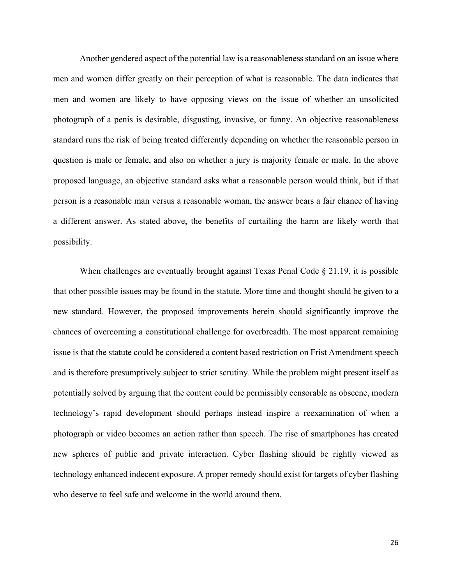Another gendered aspect of the potential law is a reasonableness standard on an issue where men and women differ greatly on their perception of what is reasonable. The data indicates that men and women are likely to have opposing views on the issue of whether an unsolicited photograph of a penis is desirable, disgusting, invasive, or funny. An objective reasonableness standard runs the risk of being treated differently depending on whether the reasonable person in question is male or female, and also on whether a jury is majority female or male. In the above proposed language, an objective standard asks what a reasonable person would think, but if that person is a reasonable man versus a reasonable woman, the answer bears a fair chance of having a different answer. As stated above, the benefits of curtailing the harm are likely worth that possibility.

When challenges are eventually brought against Texas Penal Code § 21.19, it is possible that other possible issues may be found in the statute. More time and thought should be given to a new standard. However, the proposed improvements herein should significantly improve the chances of overcoming a constitutional challenge for overbreadth. The most apparent remaining issue is that the statute could be considered a content based restriction on Frist Amendment speech and is therefore presumptively subject to strict scrutiny. While the problem might present itself as potentially solved by arguing that the content could be permissibly censorable as obscene, modern technology's rapid development should perhaps instead inspire a reexamination of when a photograph or video becomes an action rather than speech. The rise of smartphones has created new spheres of public and private interaction. Cyber flashing should be rightly viewed as technology enhanced indecent exposure. A proper remedy should exist for targets of cyber flashing who deserve to feel safe and welcome in the world around them.